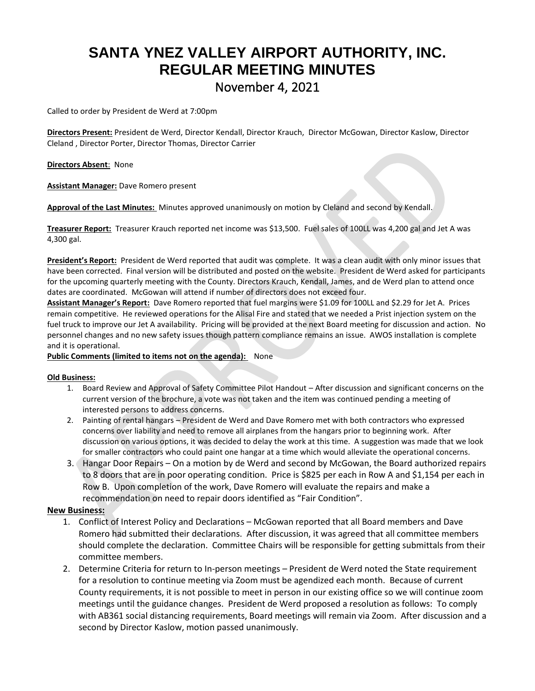## **SANTA YNEZ VALLEY AIRPORT AUTHORITY, INC. REGULAR MEETING MINUTES** November 4, 2021

Called to order by President de Werd at 7:00pm

**Directors Present:** President de Werd, Director Kendall, Director Krauch, Director McGowan, Director Kaslow, Director Cleland , Director Porter, Director Thomas, Director Carrier

**Directors Absent**: None

**Assistant Manager:** Dave Romero present

**Approval of the Last Minutes:** Minutes approved unanimously on motion by Cleland and second by Kendall.

**Treasurer Report:** Treasurer Krauch reported net income was \$13,500. Fuel sales of 100LL was 4,200 gal and Jet A was 4,300 gal.

**President's Report:** President de Werd reported that audit was complete. It was a clean audit with only minor issues that have been corrected. Final version will be distributed and posted on the website. President de Werd asked for participants for the upcoming quarterly meeting with the County. Directors Krauch, Kendall, James, and de Werd plan to attend once dates are coordinated. McGowan will attend if number of directors does not exceed four.

**Assistant Manager's Report:** Dave Romero reported that fuel margins were \$1.09 for 100LL and \$2.29 for Jet A. Prices remain competitive. He reviewed operations for the Alisal Fire and stated that we needed a Prist injection system on the fuel truck to improve our Jet A availability. Pricing will be provided at the next Board meeting for discussion and action. No personnel changes and no new safety issues though pattern compliance remains an issue. AWOS installation is complete and it is operational.

## **Public Comments (limited to items not on the agenda):** None

## **Old Business:**

- 1. Board Review and Approval of Safety Committee Pilot Handout After discussion and significant concerns on the current version of the brochure, a vote was not taken and the item was continued pending a meeting of interested persons to address concerns.
- 2. Painting of rental hangars President de Werd and Dave Romero met with both contractors who expressed concerns over liability and need to remove all airplanes from the hangars prior to beginning work. After discussion on various options, it was decided to delay the work at this time. A suggestion was made that we look for smaller contractors who could paint one hangar at a time which would alleviate the operational concerns.
- 3. Hangar Door Repairs On a motion by de Werd and second by McGowan, the Board authorized repairs to 8 doors that are in poor operating condition. Price is \$825 per each in Row A and \$1,154 per each in Row B. Upon completion of the work, Dave Romero will evaluate the repairs and make a recommendation on need to repair doors identified as "Fair Condition".

## **New Business:**

- 1. Conflict of Interest Policy and Declarations McGowan reported that all Board members and Dave Romero had submitted their declarations. After discussion, it was agreed that all committee members should complete the declaration. Committee Chairs will be responsible for getting submittals from their committee members.
- 2. Determine Criteria for return to In-person meetings President de Werd noted the State requirement for a resolution to continue meeting via Zoom must be agendized each month. Because of current County requirements, it is not possible to meet in person in our existing office so we will continue zoom meetings until the guidance changes. President de Werd proposed a resolution as follows: To comply with AB361 social distancing requirements, Board meetings will remain via Zoom. After discussion and a second by Director Kaslow, motion passed unanimously.